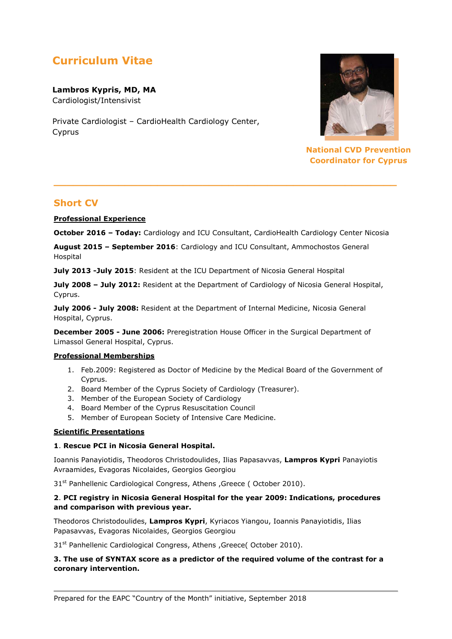# **Curriculum Vitae**

**Lambros Kypris, MD, MA** Cardiologist/Intensivist

Private Cardiologist – CardioHealth Cardiology Center, Cyprus



**National CVD Prevention Coordinator for Cyprus**

# **Short CV**

**Professional Experience**

**October 2016 – Today:** Cardiology and ICU Consultant, CardioHealth Cardiology Center Nicosia

**\_\_\_\_\_\_\_\_\_\_\_\_\_\_\_\_\_\_\_\_\_\_\_\_\_\_\_\_\_\_\_\_\_\_\_\_\_\_\_\_\_\_\_\_\_\_\_\_\_\_\_\_\_**

**August 2015 – September 2016**: Cardiology and ICU Consultant, Ammochostos General Hospital

**July 2013 -July 2015**: Resident at the ICU Department of Nicosia General Hospital

**July 2008 – July 2012:** Resident at the Department of Cardiology of Nicosia General Hospital, Cyprus.

**July 2006 - July 2008:** Resident at the Department of Internal Medicine, Nicosia General Hospital, Cyprus.

**December 2005 - June 2006:** Preregistration House Officer in the Surgical Department of Limassol General Hospital, Cyprus.

#### **Professional Memberships**

- 1. Feb.2009: Registered as Doctor of Medicine by the Medical Board of the Government of Cyprus.
- 2. Board Member of the Cyprus Society of Cardiology (Treasurer).
- 3. Member of the European Society of Cardiology
- 4. Board Member of the Cyprus Resuscitation Council
- 5. Member of European Society of Intensive Care Medicine.

#### **Scientific Presentations**

#### **1**. **Rescue PCI in Nicosia General Hospital.**

Ιoannis Panayiotidis, Theodoros Christodoulides, Ilias Papasavvas, **Lampros Kypri** Panayiotis Avraamides, Evagoras Nicolaides, Georgios Georgiou

31<sup>st</sup> Panhellenic Cardiological Congress, Athens , Greece (October 2010).

### **2**. **PCI registry in Nicosia General Hospital for the year 2009: Indications, procedures and comparison with previous year.**

Theodoros Christodoulides, **Lampros Kypri**, Kyriacos Yiangou, Ιoannis Panayiotidis, Ilias Papasavvas, Evagoras Nicolaides, Georgios Georgiou

31st Panhellenic Cardiological Congress, Athens ,Greece( October 2010).

# **3. The use of SYNTAX score as a predictor of the required volume of the contrast for a coronary intervention.**